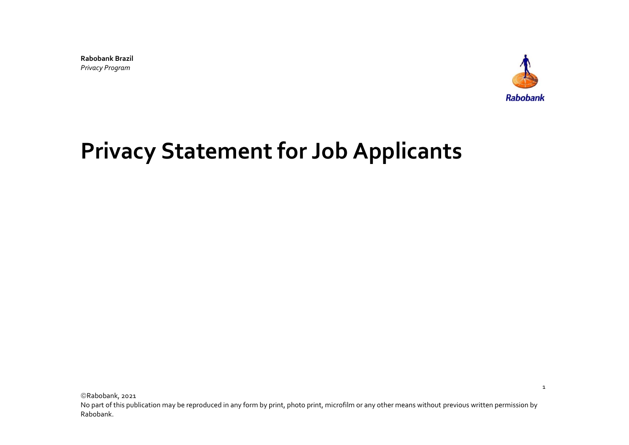**Rabobank Brazil** *Privacy Program*



1

# **Privacy Statement for Job Applicants**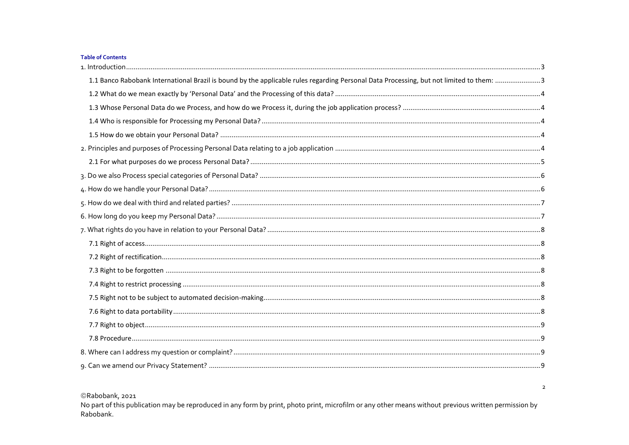#### Table of Contents

| 1.1 Banco Rabobank International Brazil is bound by the applicable rules regarding Personal Data Processing, but not limited to them: 3 |
|-----------------------------------------------------------------------------------------------------------------------------------------|
|                                                                                                                                         |
|                                                                                                                                         |
|                                                                                                                                         |
|                                                                                                                                         |
|                                                                                                                                         |
|                                                                                                                                         |
|                                                                                                                                         |
|                                                                                                                                         |
|                                                                                                                                         |
|                                                                                                                                         |
|                                                                                                                                         |
|                                                                                                                                         |
|                                                                                                                                         |
|                                                                                                                                         |
|                                                                                                                                         |
|                                                                                                                                         |
|                                                                                                                                         |
|                                                                                                                                         |
|                                                                                                                                         |
|                                                                                                                                         |
|                                                                                                                                         |

©Rabobank, 2021

No part of this publication may be reproduced in any form by print, photo print, microfilm or any other means without previous written permission by Rabobank.

 $\overline{2}$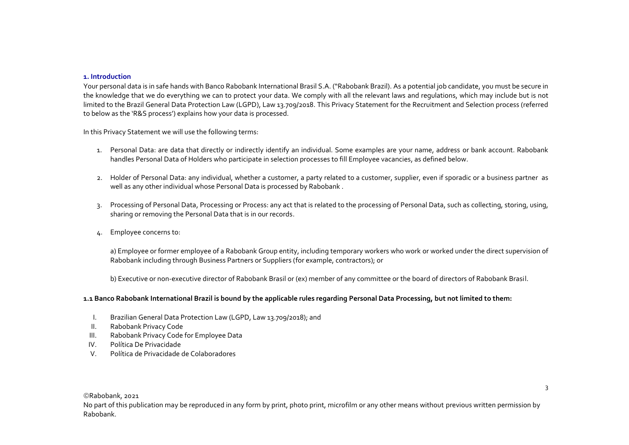#### <span id="page-2-0"></span>**1. Introduction**

Your personal data is in safe hands with Banco Rabobank International Brasil S.A. ("Rabobank Brazil). As a potential job candidate, you must be secure in the knowledge that we do everything we can to protect your data. We comply with all the relevant laws and regulations, which may include but is not limited to the Brazil General Data Protection Law (LGPD), Law 13.709/2018. This Privacy Statement for the Recruitment and Selection process (referred to below as the 'R&S process') explains how your data is processed.

In this Privacy Statement we will use the following terms:

- 1. Personal Data: are data that directly or indirectly identify an individual. Some examples are your name, address or bank account. Rabobank handles Personal Data of Holders who participate in selection processes to fill Employee vacancies, as defined below.
- 2. Holder of Personal Data: any individual, whether a customer, a party related to a customer, supplier, even if sporadic or a business partner as well as any other individual whose Personal Data is processed by Rabobank .
- 3. Processing of Personal Data, Processing or Process: any act that is related to the processing of Personal Data, such as collecting, storing, using, sharing or removing the Personal Data that is in our records.
- 4. Employee concerns to:

a) Employee or former employee of a Rabobank Group entity, including temporary workers who work or worked under the direct supervision of Rabobank including through Business Partners or Suppliers (for example, contractors); or

b) Executive or non-executive director of Rabobank Brasil or (ex) member of any committee or the board of directors of Rabobank Brasil.

## <span id="page-2-1"></span>**1.1 Banco Rabobank International Brazil is bound by the applicable rules regarding Personal Data Processing, but not limited to them:**

- I. Brazilian General Data Protection Law (LGPD, Law 13.709/2018); and
- II. Rabobank Privacy Code
- III. Rabobank Privacy Code for Employee Data
- IV. Política De Privacidade
- V. Política de Privacidade de Colaboradores

©Rabobank, 2021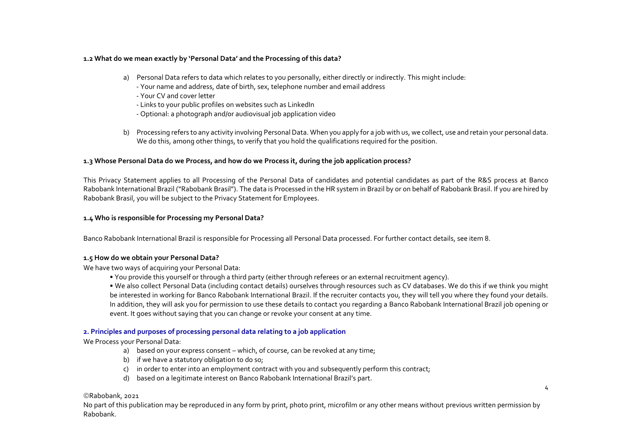## <span id="page-3-0"></span>**1.2 What do we mean exactly by 'Personal Data' and the Processing of this data?**

- a) Personal Data refers to data which relates to you personally, either directly or indirectly. This might include:
	- Your name and address, date of birth, sex, telephone number and email address
	- Your CV and cover letter
	- Links to your public profiles on websites such as LinkedIn
	- Optional: a photograph and/or audiovisual job application video
- b) Processing refers to any activity involving Personal Data. When you apply for a job with us, we collect, use and retain your personal data. We do this, among other things, to verify that you hold the qualifications required for the position.

## <span id="page-3-1"></span>**1.3 Whose Personal Data do we Process, and how do we Process it, during the job application process?**

This Privacy Statement applies to all Processing of the Personal Data of candidates and potential candidates as part of the R&S process at Banco Rabobank International Brazil ("Rabobank Brasil"). The data is Processed in the HR system in Brazil by or on behalf of Rabobank Brasil. If you are hired by Rabobank Brasil, you will be subject to the Privacy Statement for Employees.

## <span id="page-3-2"></span>**1.4 Who is responsible for Processing my Personal Data?**

Banco Rabobank International Brazil is responsible for Processing all Personal Data processed. For further contact details, see item 8.

## <span id="page-3-3"></span>**1.5 How do we obtain your Personal Data?**

We have two ways of acquiring your Personal Data:

• You provide this yourself or through a third party (either through referees or an external recruitment agency).

• We also collect Personal Data (including contact details) ourselves through resources such as CV databases. We do this if we think you might be interested in working for Banco Rabobank International Brazil. If the recruiter contacts you, they will tell you where they found your details. In addition, they will ask you for permission to use these details to contact you regarding a Banco Rabobank International Brazil job opening or event. It goes without saying that you can change or revoke your consent at any time.

# <span id="page-3-4"></span>**2. Principles and purposes of processing personal data relating to a job application**

# We Process your Personal Data:

- a) based on your express consent which, of course, can be revoked at any time;
- b) if we have a statutory obligation to do so;
- c) in order to enter into an employment contract with you and subsequently perform this contract;
- d) based on a legitimate interest on Banco Rabobank International Brazil's part.

# ©Rabobank, 2021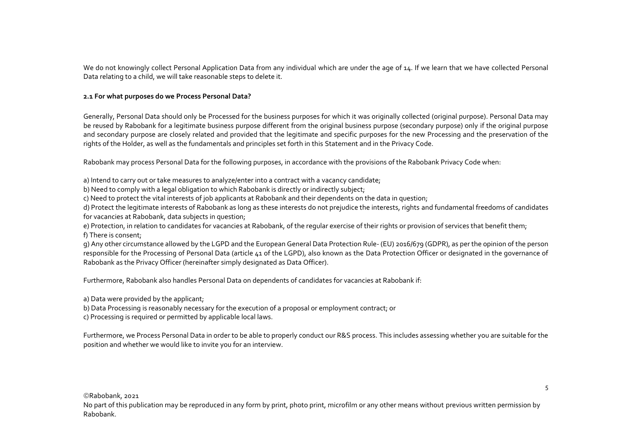We do not knowingly collect Personal Application Data from any individual which are under the age of 14. If we learn that we have collected Personal Data relating to a child, we will take reasonable steps to delete it.

## <span id="page-4-0"></span>**2.1 For what purposes do we Process Personal Data?**

Generally, Personal Data should only be Processed for the business purposes for which it was originally collected (original purpose). Personal Data may be reused by Rabobank for a legitimate business purpose different from the original business purpose (secondary purpose) only if the original purpose and secondary purpose are closely related and provided that the legitimate and specific purposes for the new Processing and the preservation of the rights of the Holder, as well as the fundamentals and principles set forth in this Statement and in the Privacy Code.

Rabobank may process Personal Data for the following purposes, in accordance with the provisions of the Rabobank Privacy Code when:

a) Intend to carry out or take measures to analyze/enter into a contract with a vacancy candidate;

b) Need to comply with a legal obligation to which Rabobank is directly or indirectly subject;

c) Need to protect the vital interests of job applicants at Rabobank and their dependents on the data in question;

d) Protect the legitimate interests of Rabobank as long as these interests do not prejudice the interests, rights and fundamental freedoms of candidates for vacancies at Rabobank, data subjects in question;

e) Protection, in relation to candidates for vacancies at Rabobank, of the regular exercise of their rights or provision of services that benefit them; f) There is consent;

g) Any other circumstance allowed by the LGPD and the European General Data Protection Rule- (EU) 2016/679 (GDPR), as per the opinion of the person responsible for the Processing of Personal Data (article 41 of the LGPD), also known as the Data Protection Officer or designated in the governance of Rabobank as the Privacy Officer (hereinafter simply designated as Data Officer).

Furthermore, Rabobank also handles Personal Data on dependents of candidates for vacancies at Rabobank if:

a) Data were provided by the applicant;

b) Data Processing is reasonably necessary for the execution of a proposal or employment contract; or

c) Processing is required or permitted by applicable local laws.

Furthermore, we Process Personal Data in order to be able to properly conduct our R&S process. This includes assessing whether you are suitable for the position and whether we would like to invite you for an interview.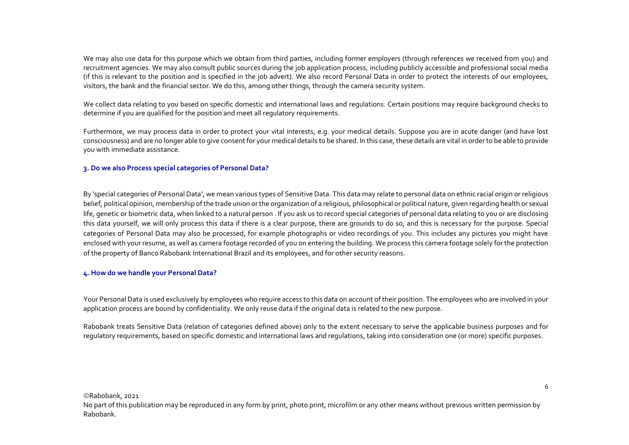We may also use data for this purpose which we obtain from third parties, including former employers (through references we received from you) and recruitment agencies. We may also consult public sources during the job application process, including publicly accessible and professional social media (if this is relevant to the position and is specified in the job advert). We also record Personal Data in order to protect the interests of our employees, visitors, the bank and the financial sector. We do this, among other things, through the camera security system.

We collect data relating to you based on specific domestic and international laws and regulations. Certain positions may require background checks to determine if you are qualified for the position and meet all regulatory requirements.

Furthermore, we may process data in order to protect your vital interests, e.g. your medical details. Suppose you are in acute danger (and have lost consciousness) and are no longer able to give consent for your medical details to be shared. In this case, these details are vital in order to be able to provide you with immediate assistance.

## <span id="page-5-0"></span>**3. Do we also Process special categories of Personal Data?**

By 'special categories of Personal Data', we mean various types of Sensitive Data. This data may relate to personal data on ethnic racial origin or religious belief, political opinion, membership of the trade union or the organization of a religious, philosophical or political nature, given regarding health or sexual life, genetic or biometric data, when linked to a natural person . If you ask us to record special categories of personal data relating to you or are disclosing this data yourself, we will only process this data if there is a clear purpose, there are grounds to do so, and this is necessary for the purpose. Special categories of Personal Data may also be processed, for example photographs or video recordings of you. This includes any pictures you might have enclosed with your resume, as well as camera footage recorded of you on entering the building. We process this camera footage solely for the protection of the property of Banco Rabobank International Brazil and its employees, and for other security reasons.

## <span id="page-5-1"></span>**4. How do we handle your Personal Data?**

Your Personal Data is used exclusively by employees who require access to this data on account of their position. The employees who are involved in your application process are bound by confidentiality. We only reuse data if the original data is related to the new purpose.

Rabobank treats Sensitive Data (relation of categories defined above) only to the extent necessary to serve the applicable business purposes and for regulatory requirements, based on specific domestic and international laws and regulations, taking into consideration one (or more) specific purposes.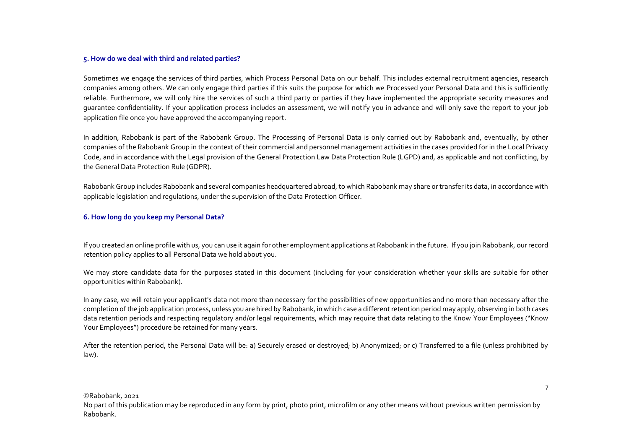#### <span id="page-6-0"></span>**5. How do we deal with third and related parties?**

Sometimes we engage the services of third parties, which Process Personal Data on our behalf. This includes external recruitment agencies, research companies among others. We can only engage third parties if this suits the purpose for which we Processed your Personal Data and this is sufficiently reliable. Furthermore, we will only hire the services of such a third party or parties if they have implemented the appropriate security measures and guarantee confidentiality. If your application process includes an assessment, we will notify you in advance and will only save the report to your job application file once you have approved the accompanying report.

In addition, Rabobank is part of the Rabobank Group. The Processing of Personal Data is only carried out by Rabobank and, eventually, by other companies of the Rabobank Group in the context of their commercial and personnel management activities in the cases provided for in the Local Privacy Code, and in accordance with the Legal provision of the General Protection Law Data Protection Rule (LGPD) and, as applicable and not conflicting, by the General Data Protection Rule (GDPR).

Rabobank Group includes Rabobank and several companies headquartered abroad, to which Rabobank may share or transfer its data, in accordance with applicable legislation and regulations, under the supervision of the Data Protection Officer.

## <span id="page-6-1"></span>**6. How long do you keep my Personal Data?**

If you created an online profile with us, you can use it again for other employment applications at Rabobank in the future. If you join Rabobank, our record retention policy applies to all Personal Data we hold about you.

We may store candidate data for the purposes stated in this document (including for your consideration whether your skills are suitable for other opportunities within Rabobank).

In any case, we will retain your applicant's data not more than necessary for the possibilities of new opportunities and no more than necessary after the completion of the job application process, unless you are hired by Rabobank, in which case a different retention period may apply, observing in both cases data retention periods and respecting regulatory and/or legal requirements, which may require that data relating to the Know Your Employees ("Know Your Employees") procedure be retained for many years.

After the retention period, the Personal Data will be: a) Securely erased or destroyed; b) Anonymized; or c) Transferred to a file (unless prohibited by law).

©Rabobank, 2021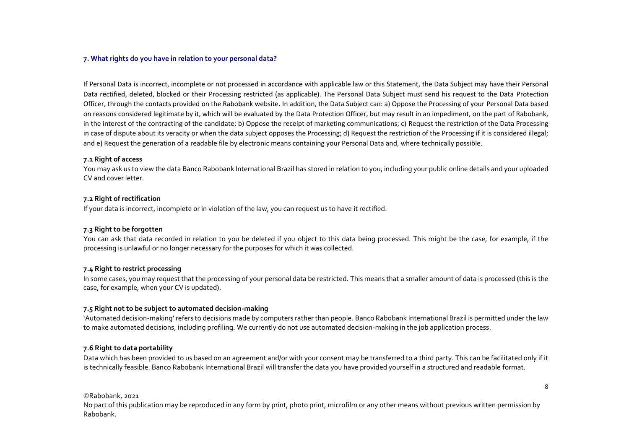#### <span id="page-7-0"></span>**7. What rights do you have in relation to your personal data?**

If Personal Data is incorrect, incomplete or not processed in accordance with applicable law or this Statement, the Data Subject may have their Personal Data rectified, deleted, blocked or their Processing restricted (as applicable). The Personal Data Subject must send his request to the Data Protection Officer, through the contacts provided on the Rabobank website. In addition, the Data Subject can: a) Oppose the Processing of your Personal Data based on reasons considered legitimate by it, which will be evaluated by the Data Protection Officer, but may result in an impediment, on the part of Rabobank, in the interest of the contracting of the candidate; b) Oppose the receipt of marketing communications; c) Request the restriction of the Data Processing in case of dispute about its veracity or when the data subject opposes the Processing; d) Request the restriction of the Processing if it is considered illegal; and e) Request the generation of a readable file by electronic means containing your Personal Data and, where technically possible.

#### <span id="page-7-1"></span>**7.1 Right of access**

You may ask us to view the data Banco Rabobank International Brazil has stored in relation to you, including your public online details and your uploaded CV and cover letter.

#### <span id="page-7-2"></span>**7.2 Right of rectification**

If your data is incorrect, incomplete or in violation of the law, you can request us to have it rectified.

## <span id="page-7-3"></span>**7.3 Right to be forgotten**

You can ask that data recorded in relation to you be deleted if you object to this data being processed. This might be the case, for example, if the processing is unlawful or no longer necessary for the purposes for which it was collected.

## <span id="page-7-4"></span>**7.4 Right to restrict processing**

In some cases, you may request that the processing of your personal data be restricted. This means that a smaller amount of data is processed (this is the case, for example, when your CV is updated).

## <span id="page-7-5"></span>**7.5 Right not to be subject to automated decision-making**

'Automated decision-making' refers to decisions made by computers rather than people. Banco Rabobank International Brazil is permitted under the law to make automated decisions, including profiling. We currently do not use automated decision-making in the job application process.

## <span id="page-7-6"></span>**7.6 Right to data portability**

Data which has been provided to us based on an agreement and/or with your consent may be transferred to a third party. This can be facilitated only if it is technically feasible. Banco Rabobank International Brazil will transfer the data you have provided yourself in a structured and readable format.

©Rabobank, 2021